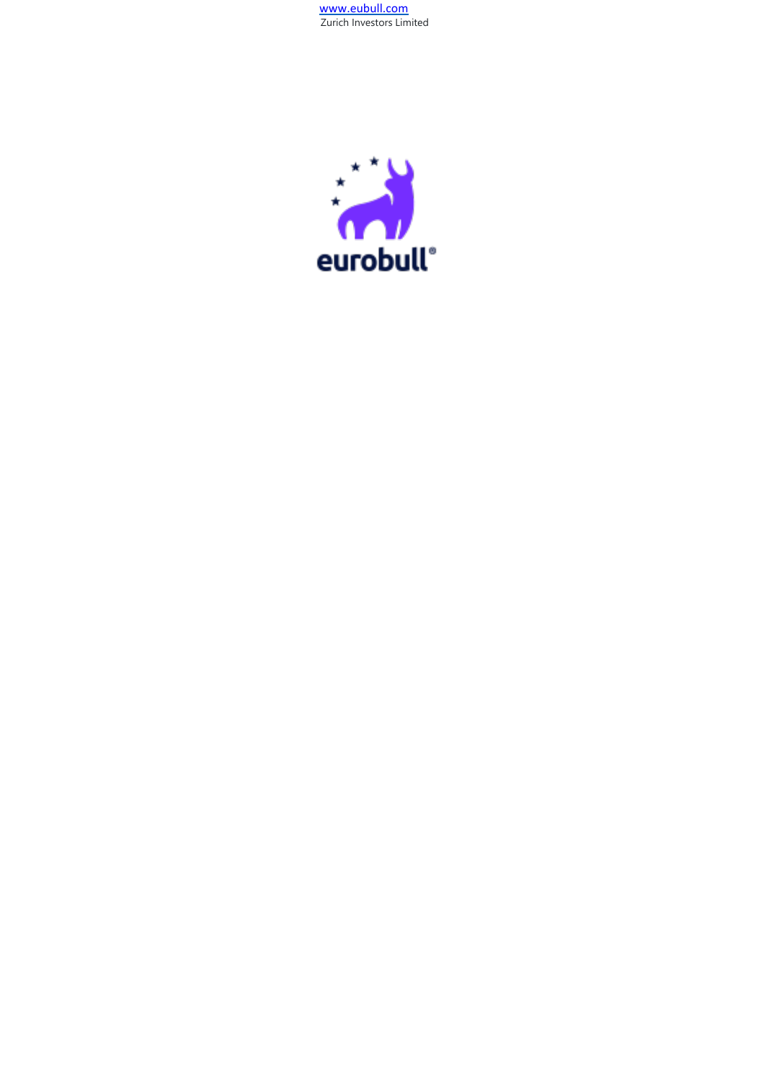[www.eubull.com](http://www.eubull.com/) Zurich Investors Limited

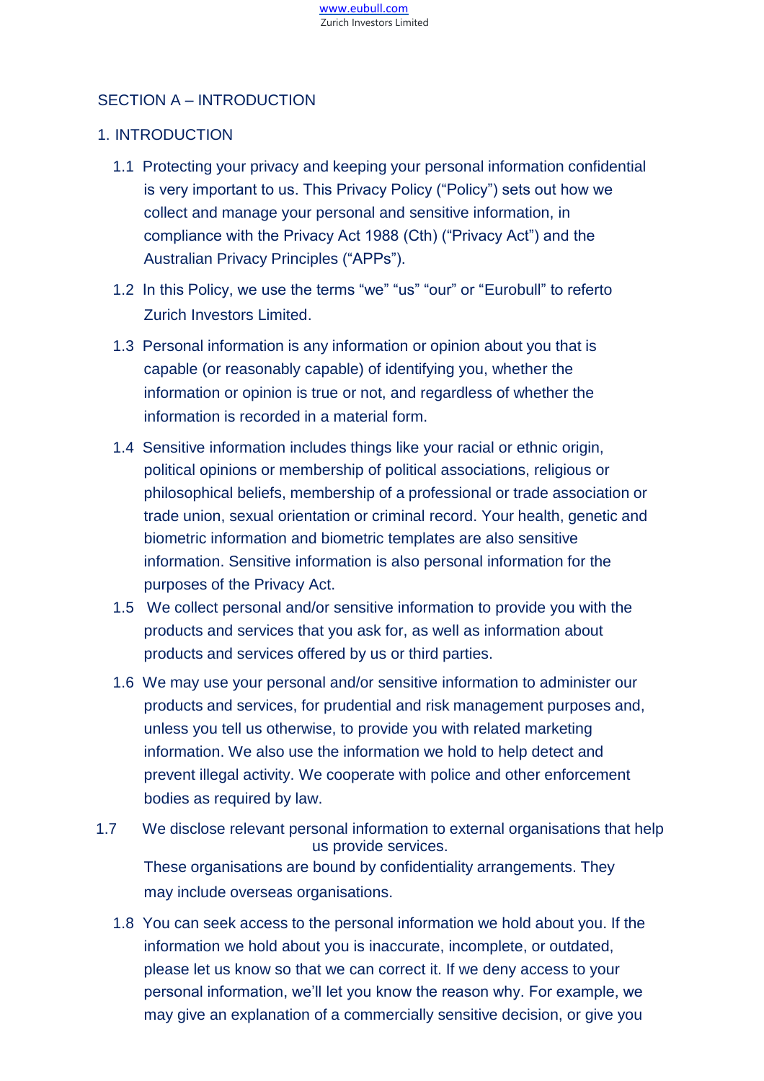# SECTION A – INTRODUCTION

# 1. INTRODUCTION

- 1.1 Protecting your privacy and keeping your personal information confidential is very important to us. This Privacy Policy ("Policy") sets out how we collect and manage your personal and sensitive information, in compliance with the Privacy Act 1988 (Cth) ("Privacy Act") and the Australian Privacy Principles ("APPs").
- 1.2 In this Policy, we use the terms "we" "us" "our" or "Eurobull" to referto Zurich Investors Limited.
- 1.3 Personal information is any information or opinion about you that is capable (or reasonably capable) of identifying you, whether the information or opinion is true or not, and regardless of whether the information is recorded in a material form.
- 1.4 Sensitive information includes things like your racial or ethnic origin, political opinions or membership of political associations, religious or philosophical beliefs, membership of a professional or trade association or trade union, sexual orientation or criminal record. Your health, genetic and biometric information and biometric templates are also sensitive information. Sensitive information is also personal information for the purposes of the Privacy Act.
- 1.5 We collect personal and/or sensitive information to provide you with the products and services that you ask for, as well as information about products and services offered by us or third parties.
- 1.6 We may use your personal and/or sensitive information to administer our products and services, for prudential and risk management purposes and, unless you tell us otherwise, to provide you with related marketing information. We also use the information we hold to help detect and prevent illegal activity. We cooperate with police and other enforcement bodies as required by law.
- 1.7 We disclose relevant personal information to external organisations that help us provide services. These organisations are bound by confidentiality arrangements. They may include overseas organisations.
	- 1.8 You can seek access to the personal information we hold about you. If the information we hold about you is inaccurate, incomplete, or outdated, please let us know so that we can correct it. If we deny access to your personal information, we'll let you know the reason why. For example, we may give an explanation of a commercially sensitive decision, or give you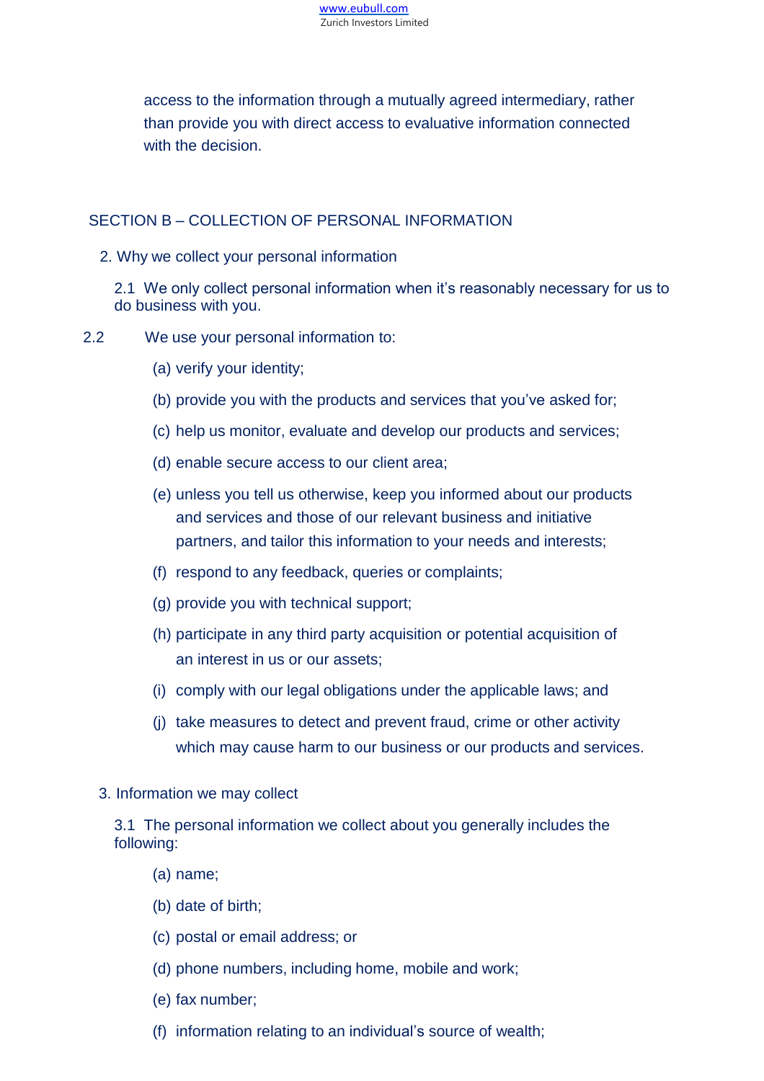

access to the information through a mutually agreed intermediary, rather than provide you with direct access to evaluative information connected with the decision.

# SECTION B – COLLECTION OF PERSONAL INFORMATION

2. Why we collect your personal information

2.1 We only collect personal information when it's reasonably necessary for us to do business with you.

- 2.2 We use your personal information to:
	- (a) verify your identity;
	- (b) provide you with the products and services that you've asked for;
	- (c) help us monitor, evaluate and develop our products and services;
	- (d) enable secure access to our client area;
	- (e) unless you tell us otherwise, keep you informed about our products and services and those of our relevant business and initiative partners, and tailor this information to your needs and interests;
	- (f) respond to any feedback, queries or complaints;
	- (g) provide you with technical support;
	- (h) participate in any third party acquisition or potential acquisition of an interest in us or our assets;
	- (i) comply with our legal obligations under the applicable laws; and
	- (j) take measures to detect and prevent fraud, crime or other activity which may cause harm to our business or our products and services.
	- 3. Information we may collect

3.1 The personal information we collect about you generally includes the following:

- (a) name;
- (b) date of birth;
- (c) postal or email address; or
- (d) phone numbers, including home, mobile and work;
- (e) fax number;
- (f) information relating to an individual's source of wealth;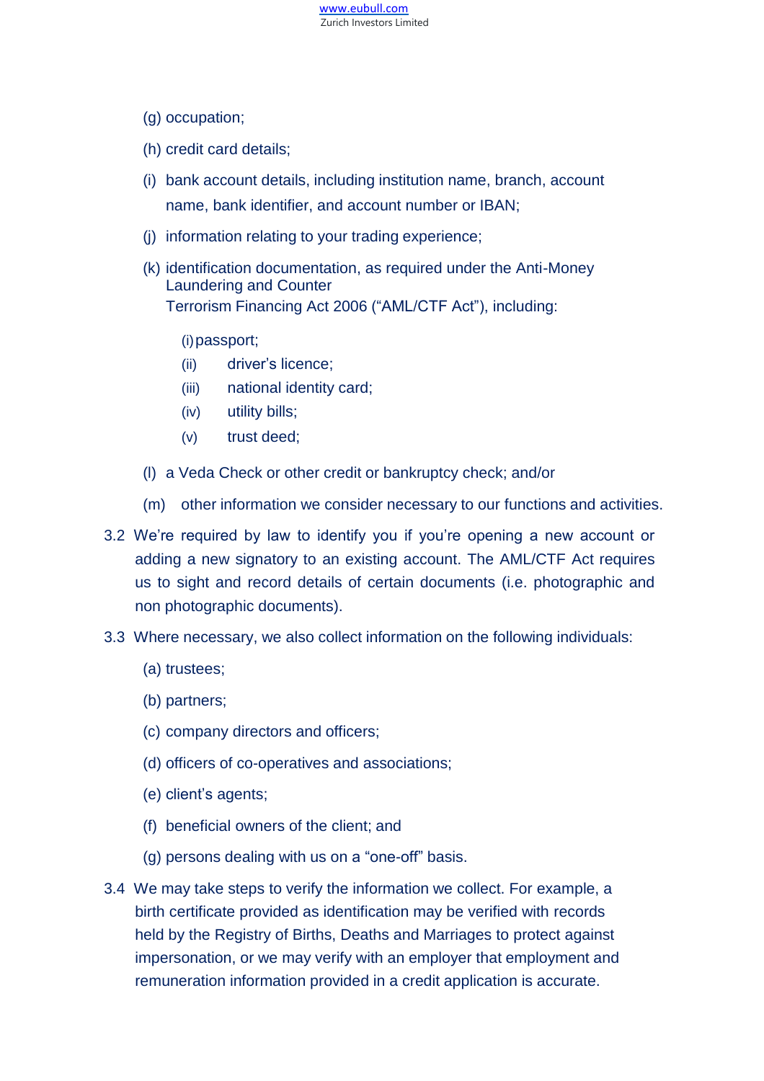

- (g) occupation;
- (h) credit card details;
- (i) bank account details, including institution name, branch, account name, bank identifier, and account number or IBAN;
- (j) information relating to your trading experience;
- (k) identification documentation, as required under the Anti-Money Laundering and Counter Terrorism Financing Act 2006 ("AML/CTF Act"), including:

#### (i)passport;

- (ii) driver's licence;
- (iii) national identity card;
- (iv) utility bills;
- (v) trust deed;
- (l) a Veda Check or other credit or bankruptcy check; and/or
- (m) other information we consider necessary to our functions and activities.
- 3.2 We're required by law to identify you if you're opening a new account or adding a new signatory to an existing account. The AML/CTF Act requires us to sight and record details of certain documents (i.e. photographic and non photographic documents).
- 3.3 Where necessary, we also collect information on the following individuals:
	- (a) trustees;
	- (b) partners;
	- (c) company directors and officers;
	- (d) officers of co-operatives and associations;
	- (e) client's agents;
	- (f) beneficial owners of the client; and
	- (g) persons dealing with us on a "one-off" basis.
- 3.4 We may take steps to verify the information we collect. For example, a birth certificate provided as identification may be verified with records held by the Registry of Births, Deaths and Marriages to protect against impersonation, or we may verify with an employer that employment and remuneration information provided in a credit application is accurate.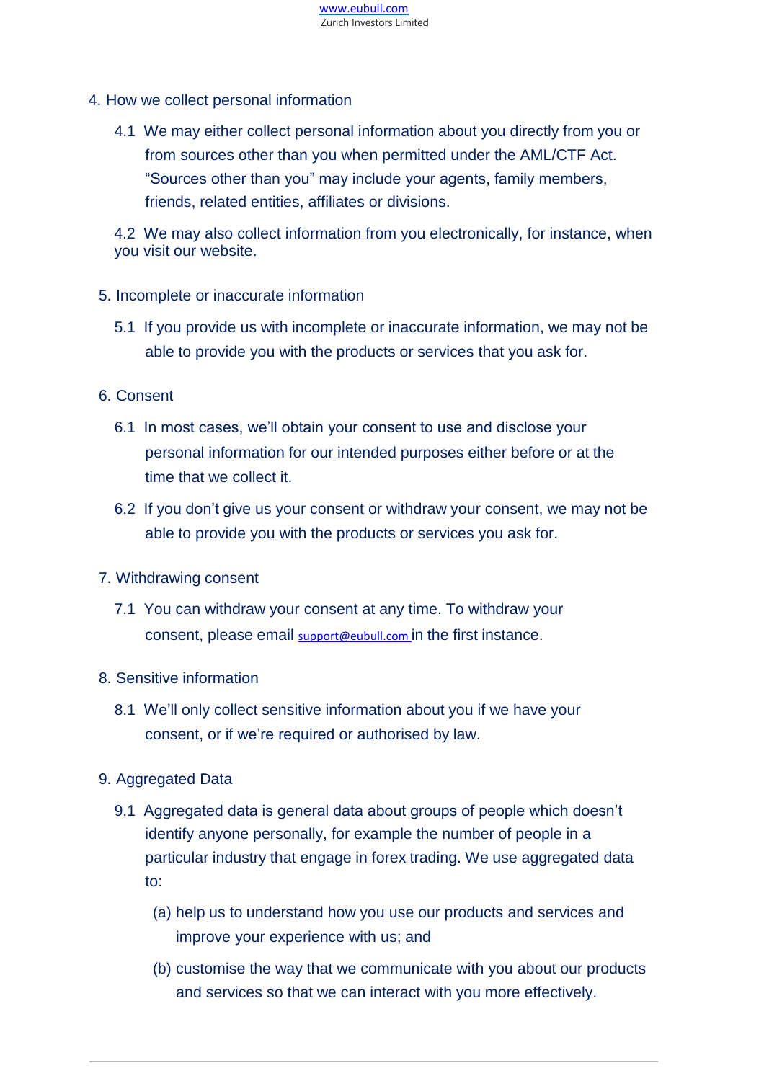

- 4. How we collect personal information
	- 4.1 We may either collect personal information about you directly from you or from sources other than you when permitted under the AML/CTF Act. "Sources other than you" may include your agents, family members, friends, related entities, affiliates or divisions.

4.2 We may also collect information from you electronically, for instance, when you visit our website.

- 5. Incomplete or inaccurate information
	- 5.1 If you provide us with incomplete or inaccurate information, we may not be able to provide you with the products or services that you ask for.
- 6. Consent
	- 6.1 In most cases, we'll obtain your consent to use and disclose your personal information for our intended purposes either before or at the time that we collect it.
	- 6.2 If you don't give us your consent or withdraw your consent, we may not be able to provide you with the products or services you ask for.
- 7. Withdrawing consent
	- 7.1 You can withdraw your consent at any time. To withdraw your consent, please email [support@eubull.com](mailto:support@eubull.com) in the first instance.
- 8. Sensitive information
	- 8.1 We'll only collect sensitive information about you if we have your consent, or if we're required or authorised by law.
- 9. Aggregated Data
	- 9.1 Aggregated data is general data about groups of people which doesn't identify anyone personally, for example the number of people in a particular industry that engage in forex trading. We use aggregated data to:
		- (a) help us to understand how you use our products and services and improve your experience with us; and
		- (b) customise the way that we communicate with you about our products and services so that we can interact with you more effectively.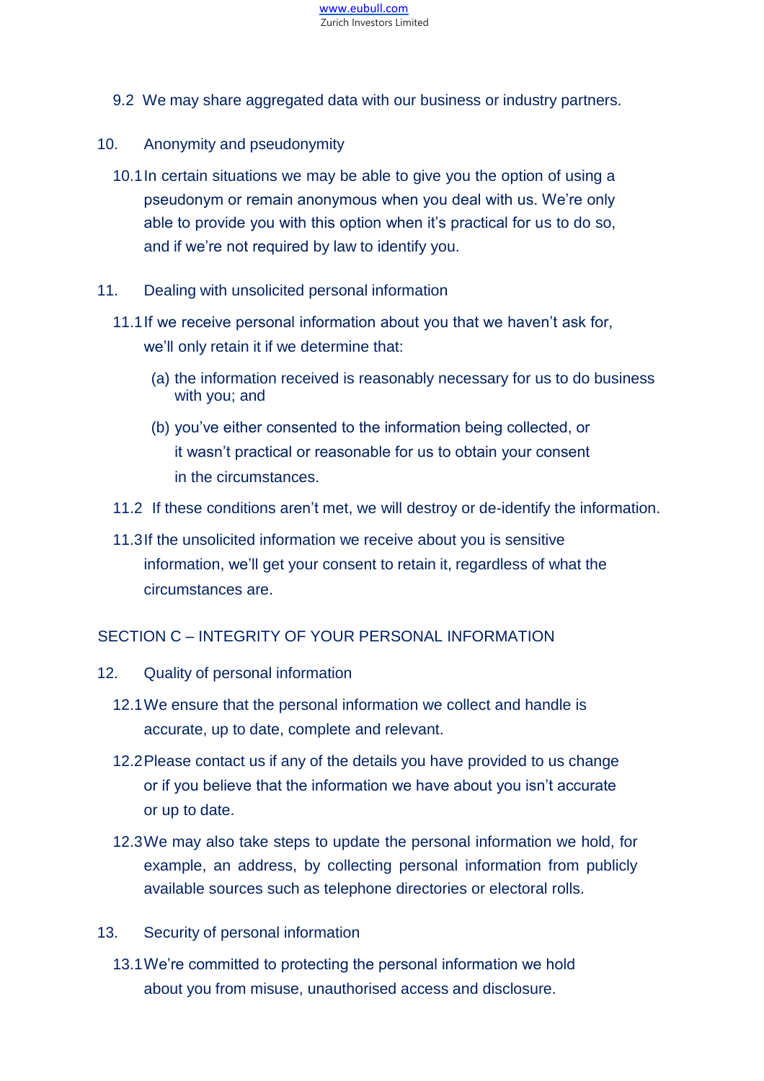

- 9.2 We may share aggregated data with our business or industry partners.
- 10. Anonymity and pseudonymity
	- 10.1In certain situations we may be able to give you the option of using a pseudonym or remain anonymous when you deal with us. We're only able to provide you with this option when it's practical for us to do so, and if we're not required by law to identify you.
- 11. Dealing with unsolicited personal information
	- 11.1If we receive personal information about you that we haven't ask for, we'll only retain it if we determine that:
		- (a) the information received is reasonably necessary for us to do business with you; and
		- (b) you've either consented to the information being collected, or it wasn't practical or reasonable for us to obtain your consent in the circumstances.
	- 11.2 If these conditions aren't met, we will destroy or de-identify the information.
	- 11.3If the unsolicited information we receive about you is sensitive information, we'll get your consent to retain it, regardless of what the circumstances are.

## SECTION C – INTEGRITY OF YOUR PERSONAL INFORMATION

- 12. Quality of personal information
	- 12.1We ensure that the personal information we collect and handle is accurate, up to date, complete and relevant.
	- 12.2Please contact us if any of the details you have provided to us change or if you believe that the information we have about you isn't accurate or up to date.
	- 12.3We may also take steps to update the personal information we hold, for example, an address, by collecting personal information from publicly available sources such as telephone directories or electoral rolls.
- 13. Security of personal information
	- 13.1We're committed to protecting the personal information we hold about you from misuse, unauthorised access and disclosure.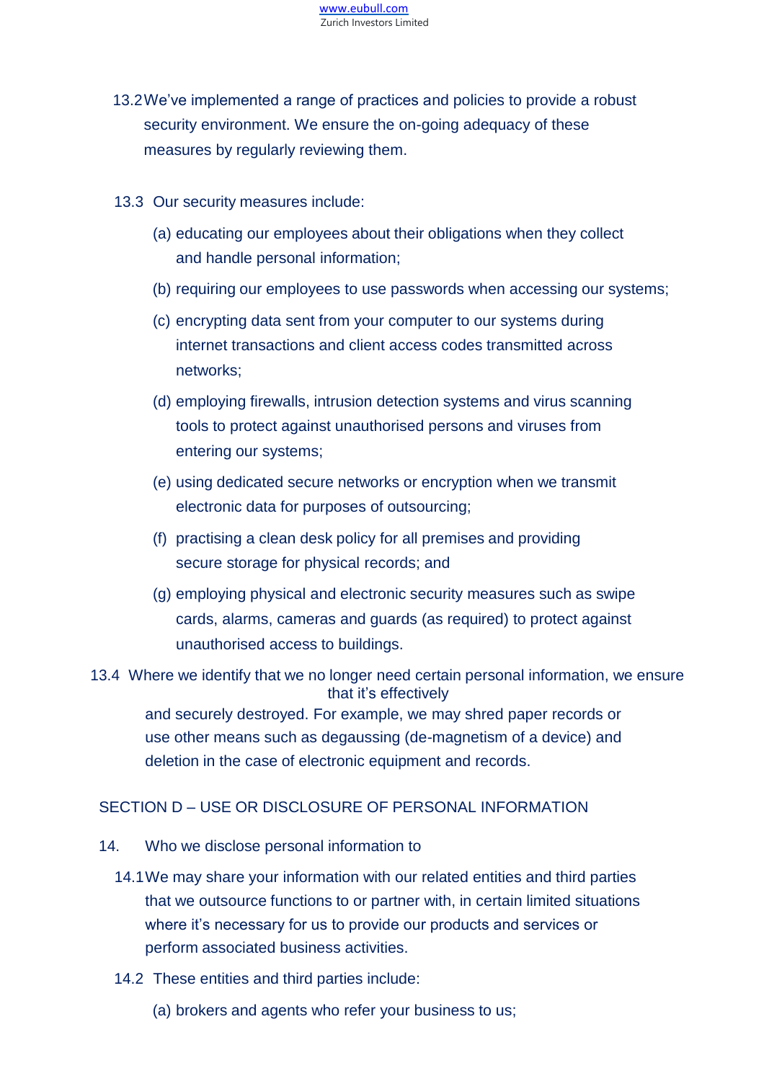

- 13.2We've implemented a range of practices and policies to provide a robust security environment. We ensure the on-going adequacy of these measures by regularly reviewing them.
- 13.3 Our security measures include:
	- (a) educating our employees about their obligations when they collect and handle personal information;
	- (b) requiring our employees to use passwords when accessing our systems;
	- (c) encrypting data sent from your computer to our systems during internet transactions and client access codes transmitted across networks;
	- (d) employing firewalls, intrusion detection systems and virus scanning tools to protect against unauthorised persons and viruses from entering our systems;
	- (e) using dedicated secure networks or encryption when we transmit electronic data for purposes of outsourcing;
	- (f) practising a clean desk policy for all premises and providing secure storage for physical records; and
	- (g) employing physical and electronic security measures such as swipe cards, alarms, cameras and guards (as required) to protect against unauthorised access to buildings.
- 13.4 Where we identify that we no longer need certain personal information, we ensure that it's effectively and securely destroyed. For example, we may shred paper records or use other means such as degaussing (de-magnetism of a device) and deletion in the case of electronic equipment and records.

## SECTION D – USE OR DISCLOSURE OF PERSONAL INFORMATION

- 14. Who we disclose personal information to
	- 14.1We may share your information with our related entities and third parties that we outsource functions to or partner with, in certain limited situations where it's necessary for us to provide our products and services or perform associated business activities.
	- 14.2 These entities and third parties include:
		- (a) brokers and agents who refer your business to us;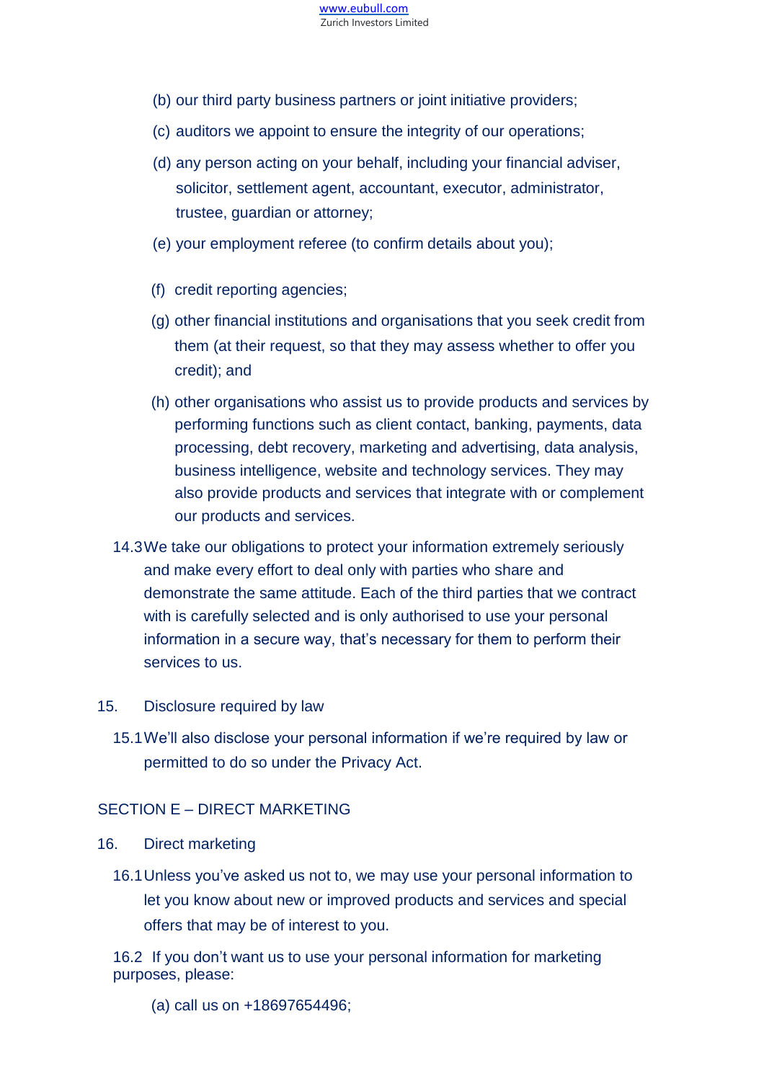

- (b) our third party business partners or joint initiative providers;
- (c) auditors we appoint to ensure the integrity of our operations;
- (d) any person acting on your behalf, including your financial adviser, solicitor, settlement agent, accountant, executor, administrator, trustee, guardian or attorney;
- (e) your employment referee (to confirm details about you);
- (f) credit reporting agencies;
- (g) other financial institutions and organisations that you seek credit from them (at their request, so that they may assess whether to offer you credit); and
- (h) other organisations who assist us to provide products and services by performing functions such as client contact, banking, payments, data processing, debt recovery, marketing and advertising, data analysis, business intelligence, website and technology services. They may also provide products and services that integrate with or complement our products and services.
- 14.3We take our obligations to protect your information extremely seriously and make every effort to deal only with parties who share and demonstrate the same attitude. Each of the third parties that we contract with is carefully selected and is only authorised to use your personal information in a secure way, that's necessary for them to perform their services to us.

#### 15. Disclosure required by law

15.1We'll also disclose your personal information if we're required by law or permitted to do so under the Privacy Act.

## SECTION E – DIRECT MARKETING

#### 16. Direct marketing

16.1Unless you've asked us not to, we may use your personal information to let you know about new or improved products and services and special offers that may be of interest to you.

16.2 If you don't want us to use your personal information for marketing purposes, please:

(a) call us on +18697654496;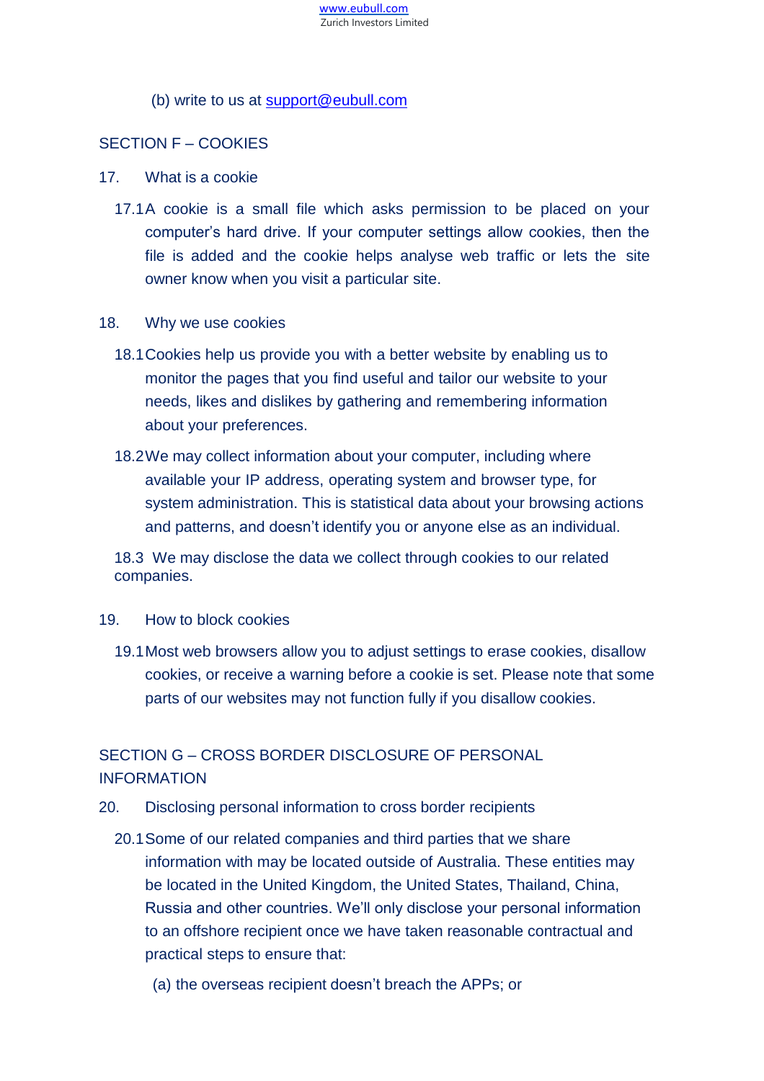

#### (b) write to us at [support@eubull.com](mailto:support@eubull.com)

### SECTION F – COOKIES

- 17. What is a cookie
	- 17.1A cookie is a small file which asks permission to be placed on your computer's hard drive. If your computer settings allow cookies, then the file is added and the cookie helps analyse web traffic or lets the site owner know when you visit a particular site.
- 18. Why we use cookies
	- 18.1Cookies help us provide you with a better website by enabling us to monitor the pages that you find useful and tailor our website to your needs, likes and dislikes by gathering and remembering information about your preferences.
	- 18.2We may collect information about your computer, including where available your IP address, operating system and browser type, for system administration. This is statistical data about your browsing actions and patterns, and doesn't identify you or anyone else as an individual.

18.3 We may disclose the data we collect through cookies to our related companies.

#### 19. How to block cookies

19.1Most web browsers allow you to adjust settings to erase cookies, disallow cookies, or receive a warning before a cookie is set. Please note that some parts of our websites may not function fully if you disallow cookies.

# SECTION G – CROSS BORDER DISCLOSURE OF PERSONAL INFORMATION

- 20. Disclosing personal information to cross border recipients
	- 20.1Some of our related companies and third parties that we share information with may be located outside of Australia. These entities may be located in the United Kingdom, the United States, Thailand, China, Russia and other countries. We'll only disclose your personal information to an offshore recipient once we have taken reasonable contractual and practical steps to ensure that:
		- (a) the overseas recipient doesn't breach the APPs; or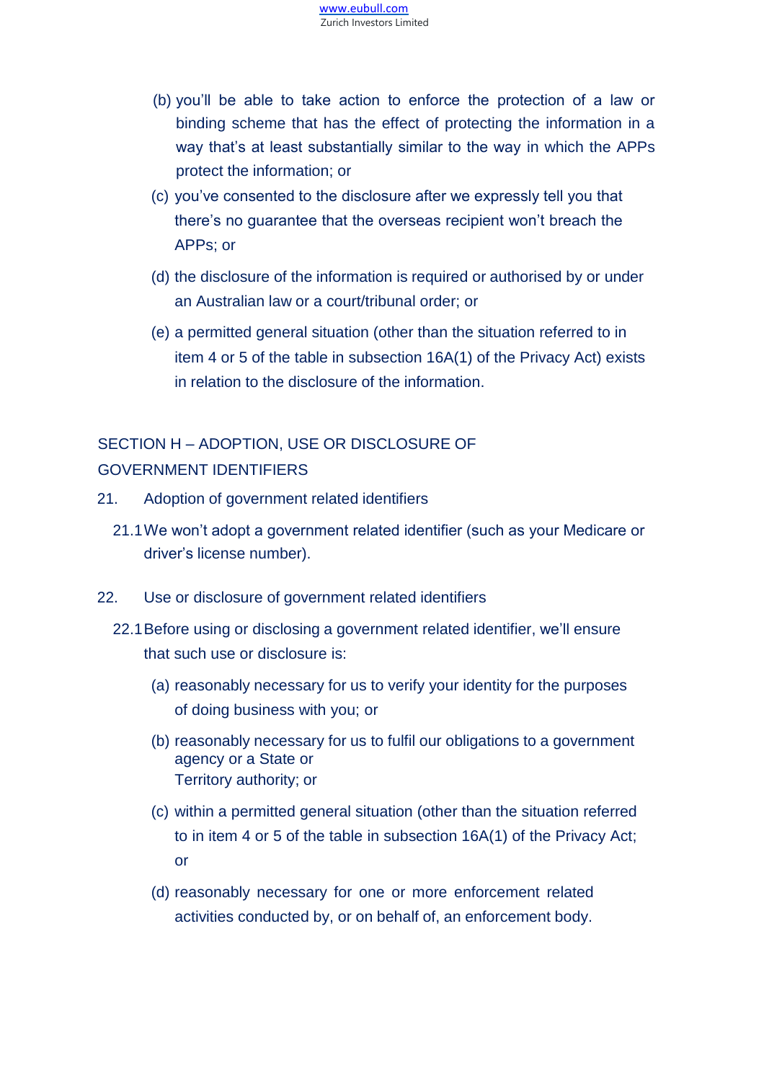- (b) you'll be able to take action to enforce the protection of a law or binding scheme that has the effect of protecting the information in a way that's at least substantially similar to the way in which the APPs protect the information; or
- (c) you've consented to the disclosure after we expressly tell you that there's no guarantee that the overseas recipient won't breach the APPs; or
- (d) the disclosure of the information is required or authorised by or under an Australian law or a court/tribunal order; or
- (e) a permitted general situation (other than the situation referred to in item 4 or 5 of the table in subsection 16A(1) of the Privacy Act) exists in relation to the disclosure of the information.

# SECTION H – ADOPTION, USE OR DISCLOSURE OF GOVERNMENT IDENTIFIERS

- 21. Adoption of government related identifiers
	- 21.1We won't adopt a government related identifier (such as your Medicare or driver's license number).
- 22. Use or disclosure of government related identifiers
	- 22.1Before using or disclosing a government related identifier, we'll ensure that such use or disclosure is:
		- (a) reasonably necessary for us to verify your identity for the purposes of doing business with you; or
		- (b) reasonably necessary for us to fulfil our obligations to a government agency or a State or Territory authority; or
		- (c) within a permitted general situation (other than the situation referred to in item 4 or 5 of the table in subsection 16A(1) of the Privacy Act; or
		- (d) reasonably necessary for one or more enforcement related activities conducted by, or on behalf of, an enforcement body.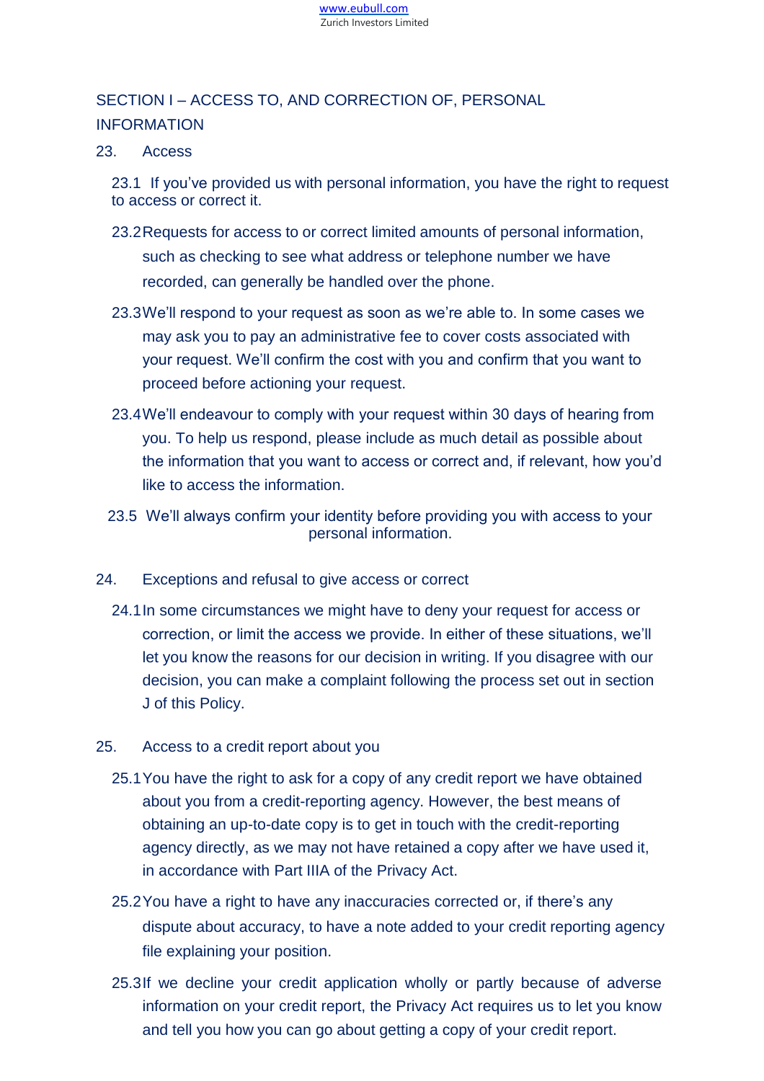

# SECTION I – ACCESS TO, AND CORRECTION OF, PERSONAL INFORMATION

#### 23. Access

23.1 If you've provided us with personal information, you have the right to request to access or correct it.

- 23.2Requests for access to or correct limited amounts of personal information, such as checking to see what address or telephone number we have recorded, can generally be handled over the phone.
- 23.3We'll respond to your request as soon as we're able to. In some cases we may ask you to pay an administrative fee to cover costs associated with your request. We'll confirm the cost with you and confirm that you want to proceed before actioning your request.
- 23.4We'll endeavour to comply with your request within 30 days of hearing from you. To help us respond, please include as much detail as possible about the information that you want to access or correct and, if relevant, how you'd like to access the information.
- 23.5 We'll always confirm your identity before providing you with access to your personal information.
- 24. Exceptions and refusal to give access or correct
	- 24.1In some circumstances we might have to deny your request for access or correction, or limit the access we provide. In either of these situations, we'll let you know the reasons for our decision in writing. If you disagree with our decision, you can make a complaint following the process set out in section J of this Policy.
- 25. Access to a credit report about you
	- 25.1You have the right to ask for a copy of any credit report we have obtained about you from a credit-reporting agency. However, the best means of obtaining an up-to-date copy is to get in touch with the credit-reporting agency directly, as we may not have retained a copy after we have used it, in accordance with Part IIIA of the Privacy Act.
	- 25.2You have a right to have any inaccuracies corrected or, if there's any dispute about accuracy, to have a note added to your credit reporting agency file explaining your position.
	- 25.3If we decline your credit application wholly or partly because of adverse information on your credit report, the Privacy Act requires us to let you know and tell you how you can go about getting a copy of your credit report.